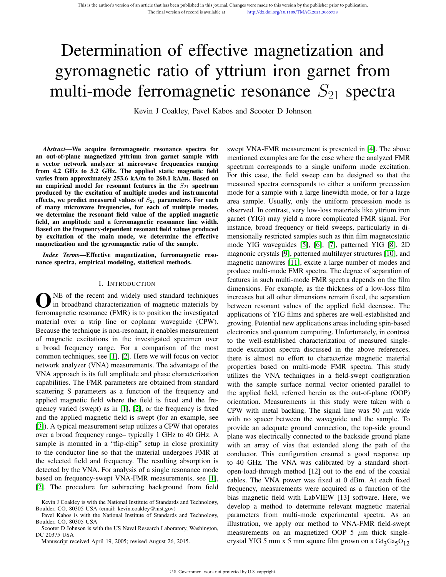# Determination of effective magnetization and gyromagnetic ratio of yttrium iron garnet from multi-mode ferromagnetic resonance  $S_{21}$  spectra

Kevin J Coakley, Pavel Kabos and Scooter D Johnson

*Abstract*—We acquire ferromagnetic resonance spectra for an out-of-plane magnetized yttrium iron garnet sample with a vector network analyzer at microwave frequencies ranging from 4.2 GHz to 5.2 GHz. The applied static magnetic field varies from approximately 253.6 kA/m to 260.1 kA/m. Based on an empirical model for resonant features in the  $S_{21}$  spectrum produced by the excitation of multiple modes and instrumental effects, we predict measured values of  $S_{21}$  parameters. For each of many microwave frequencies, for each of multiple modes, we determine the resonant field value of the applied magnetic field, an amplitude and a ferromagnetic resonance line width. Based on the frequency-dependent resonant field values produced by excitation of the main mode, we determine the effective magnetization and the gyromagnetic ratio of the sample.

*Index Terms*—Effective magnetization, ferromagnetic resonance spectra, empirical modeling, statistical methods.

## I. INTRODUCTION

ONE of the recent and widely used standard techniques<br>in broadband characterization of magnetic materials by<br>ferromagnetic resonance (FMR) is to position the investigated NE of the recent and widely used standard techniques in broadband characterization of magnetic materials by material over a strip line or coplanar waveguide (CPW). Because the technique is non-resonant, it enables measurement of magnetic excitations in the investigated specimen over a broad frequency range. For a comparison of the most common techniques, see [1], [2]. Here we will focus on vector network analyzer (VNA) measurements. The advantage of the VNA approach is its full amplitude and phase characterization capabilities. The FMR parameters are obtained from standard scattering S parameters as a function of the frequency and applied magnetic field where the field is fixed and the frequency varied (swept) as in [1], [2], or the frequency is fixed and the applied magnetic field is swept (for an example, see [3]). A typical measurement setup utilizes a CPW that operates over a broad frequency range– typically 1 GHz to 40 GHz. A sample is mounted in a "flip-chip" setup in close proximity to the conductor line so that the material undergoes FMR at the selected field and frequency. The resulting absorption is detected by the VNA. For analysis of a single resonance mode based on frequency-swept VNA-FMR measurements, see [1], [2]. The procedure for subtracting background from field

Scooter D Johnson is with the US Naval Research Laboratory, Washington, DC 20375 USA

Manuscript received April 19, 2005; revised August 26, 2015.

swept VNA-FMR measurement is presented in [4]. The above mentioned examples are for the case where the analyzed FMR spectrum corresponds to a single uniform mode excitation. For this case, the field sweep can be designed so that the measured spectra corresponds to either a uniform precession mode for a sample with a large linewidth mode, or for a large area sample. Usually, only the uniform precession mode is observed. In contrast, very low-loss materials like yttrium iron garnet (YIG) may yield a more complicated FMR signal. For instance, broad frequency or field sweeps, particularly in dimensionally restricted samples such as thin film magnetostatic mode YIG waveguides [5], [6], [7], patterned YIG [8], 2D magnonic crystals [9], patterned multilayer structures [10], and magnetic nanowires [11], excite a large number of modes and produce multi-mode FMR spectra. The degree of separation of features in such multi-mode FMR spectra depends on the film dimensions. For example, as the thickness of a low-loss film increases but all other dimensions remain fixed, the separation between resonant values of the applied field decrease. The applications of YIG films and spheres are well-established and growing. Potential new applications areas including spin-based electronics and quantum computing. Unfortunately, in contrast to the well-established characterization of measured singlemode excitation spectra discussed in the above references, there is almost no effort to characterize magnetic material properties based on multi-mode FMR spectra. This study utilizes the VNA techniques in a field-swept configuration with the sample surface normal vector oriented parallel to the applied field, referred herein as the out-of-plane (OOP) orientation. Measurements in this study were taken with a CPW with metal backing. The signal line was 50  $\mu$ m wide with no spacer between the waveguide and the sample. To provide an adequate ground connection, the top-side ground plane was electrically connected to the backside ground plane with an array of vias that extended along the path of the conductor. This configuration ensured a good response up to 40 GHz. The VNA was calibrated by a standard shortopen-load-through method [12] out to the end of the coaxial cables. The VNA power was fixed at 0 dBm. At each fixed frequency, measurements were acquired as a function of the bias magnetic field with LabVIEW [13] software. Here, we develop a method to determine relevant magnetic material parameters from multi-mode experimental spectra. As an illustration, we apply our method to VNA-FMR field-swept measurements on an magnetized OOP 5  $\mu$ m thick singlecrystal YIG 5 mm x 5 mm square film grown on a  $Gd_3Ga_5O_{12}$ 

Kevin J Coakley is with the National Institute of Standards and Technology, Boulder, CO, 80305 USA (email: kevin.coakley@nist.gov)

Pavel Kabos is with the National Institute of Standards and Technology, Boulder, CO, 80305 USA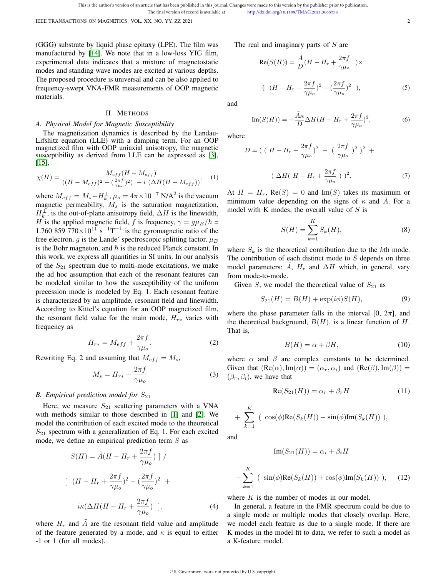IEEE TRANSACTIONS ON MAGNETICS VOL. XX, NO. YY, ZZ 2021 2

(GGG) substrate by liquid phase epitaxy (LPE). The film was manufactured by [14]. We note that in a low-loss YIG film, experimental data indicates that a mixture of magnetostatic modes and standing wave modes are excited at various depths. The proposed procedure is universal and can be also applied to frequency-swept VNA-FMR measurements of OOP magnetic materials.

## II. METHODS

#### *A. Physical Model for Magnetic Susceptibility*

The magnetization dynamics is described by the Landau-Lifshitz equation (LLE) with a damping term. For an OOP magnetized film with OOP uniaxial anisotropy, the magnetic susceptibility as derived from LLE can be expressed as [3], [15],

$$
\chi(H) = \frac{M_{eff}(H - M_{eff})}{((H - M_{eff})^2 - (\frac{2\pi f}{\gamma \mu_o})^2) - i(\Delta H(H - M_{eff}))},
$$
 (1)

where  $M_{eff} = M_s - H_k^{\perp}$ ,  $\mu_o = 4\pi \times 10^{-7}$  N/A<sup>2</sup> is the vacuum magnetic permeability,  $M_s$  is the saturation magnetization,  $H_k^{\perp}$ , is the out-of-plane anisotropy field,  $\Delta H$  is the linewidth, H is the applied magnetic field, f is frequency,  $\gamma = g\mu_B/\hbar =$ 1.760 859 770 $\times$ 10<sup>11</sup> s<sup>-1</sup>T<sup>-1</sup> is the gyromagnetic ratio of the free electron, g is the Lande' spectroscopic splitting factor,  $\mu_B$ is the Bohr magneton, and  $\hbar$  is the reduced Planck constant. In this work, we express all quantities in SI units. In our analysis of the  $S_{21}$  spectrum due to multi-mode excitations, we make the ad hoc assumption that each of the resonant features can be modeled similar to how the susceptibility of the uniform precession mode is modeled by Eq. 1. Each resonant feature is characterized by an amplitude, resonant field and linewidth. According to Kittel's equation for an OOP magnetized film, the resonant field value for the main mode,  $H_{r*}$  varies with frequency as

$$
H_{r*} = M_{eff} + \frac{2\pi f}{\gamma \mu_o}.
$$
 (2)

Rewriting Eq. 2 and assuming that  $M_{eff} = M_s$ ,

$$
M_s = H_{r*} - \frac{2\pi f}{\gamma \mu_o} \tag{3}
$$

## *B. Empirical prediction model for*  $S_{21}$

Here, we measure  $S_{21}$  scattering parameters with a VNA with methods similar to those described in [1] and [2]. We model the contribution of each excited mode to the theoretical  $S_{21}$  spectrum with a generalization of Eq. 1. For each excited mode, we define an empirical prediction term  $S$  as

$$
S(H) = \tilde{A}(H - H_r + \frac{2\pi f}{\gamma \mu_o}) \mid /
$$

$$
\left[ (H - H_r + \frac{2\pi f}{\gamma \mu_o})^2 - (\frac{2\pi f}{\gamma \mu_o})^2 + \right]
$$

$$
i\kappa(\Delta H(H - H_r + \frac{2\pi f}{\gamma \mu_o}) \mid,
$$
 (4)

where  $H_r$  and A are the resonant field value and amplitude of the feature generated by a mode, and  $\kappa$  is equal to either -1 or 1 (for all modes).

The real and imaginary parts of  $S$  are

$$
Re(S(H)) = \frac{\tilde{A}}{D}(H - H_r + \frac{2\pi f}{\gamma \mu_o}) \times
$$
  

$$
((H - H_r + \frac{2\pi f}{\gamma \mu_o})^2 - (\frac{2\pi f}{\gamma \mu_o})^2),
$$
 (5)

and

$$
\operatorname{Im}(S(H)) = -\frac{\tilde{A}\kappa}{D}\Delta H(H - H_r + \frac{2\pi f}{\gamma \mu_o})^2,\tag{6}
$$

where

$$
D = \left( \left( H - H_r + \frac{2\pi f}{\gamma \mu_o} \right)^2 - \left( \frac{2\pi f}{\gamma \mu_o} \right)^2 \right)^2 +
$$
  

$$
\left( \Delta H \left( H - H_r + \frac{2\pi f}{\gamma \mu_o} \right) \right)^2.
$$
 (7)

At  $H = H_r$ , Re $(S) = 0$  and Im $(S)$  takes its maximum or minimum value depending on the signs of  $\kappa$  and  $\tilde{A}$ . For a model with K modes, the overall value of  $S$  is

$$
S(H) = \sum_{k=1}^{K} S_k(H),
$$
 (8)

where  $S_k$  is the theoretical contribution due to the kth mode. The contribution of each distinct mode to  $S$  depends on three model parameters: A,  $H_r$  and  $\Delta H$  which, in general, vary from mode-to-mode.

Given S, we model the theoretical value of  $S_{21}$  as

$$
S_{21}(H) = B(H) + \exp(i\phi)S(H),
$$
\n(9)

where the phase parameter falls in the interval [0,  $2\pi$ ], and the theoretical background,  $B(H)$ , is a linear function of H. That is,

$$
B(H) = \alpha + \beta H,\tag{10}
$$

where  $\alpha$  and  $\beta$  are complex constants to be determined. Given that  $(Re(\alpha), Im(\alpha)) = (\alpha_r, \alpha_i)$  and  $(Re(\beta), Im(\beta)) =$  $(\beta_r, \beta_i)$ , we have that

$$
\operatorname{Re}(S_{21}(H)) = \alpha_r + \beta_r H \tag{11}
$$

+ 
$$
\sum_{k=1}^{K}
$$
 (  $\cos(\phi) \text{Re}(S_k(H)) - \sin(\phi) \text{Im}(S_k(H))$  ),

and

$$
\operatorname{Im}(S_{21}(H)) = \alpha_i + \beta_i H
$$

$$
+\sum_{k=1}^{K} (\sin(\phi)\text{Re}(S_k(H)) + \cos(\phi)\text{Im}(S_k(H))), \quad (12)
$$

where  $K$  is the number of modes in our model.

In general, a feature in the FMR spectrum could be due to a single mode or multiple modes that closely overlap. Here, we model each feature as due to a single mode. If there are K modes in the model fit to data, we refer to such a model as a K-feature model.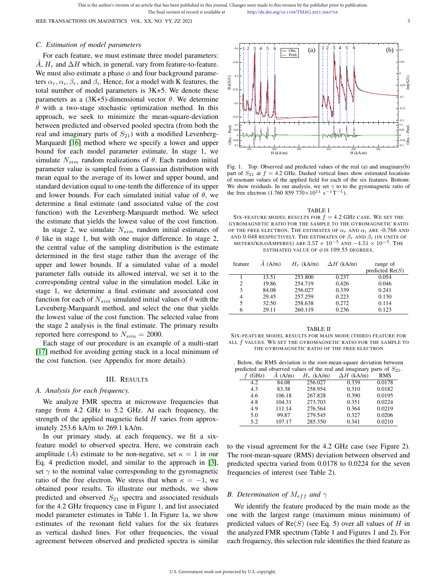This is the author's version of an article that has been published in this journal. Changes were made to this version by the publisher prior to publication. The final version of record is available at http://dx.doi.org/10.1109/TMAG.2021.3065758

IEEE TRANSACTIONS ON MAGNETICS VOL. XX, NO. YY, ZZ 2021 3

## *C. Estimation of model parameters*

For each feature, we must estimate three model parameters:  $\ddot{A}$ ,  $H_r$  and  $\Delta H$  which, in general, vary from feature-to-feature. We must also estimate a phase  $\phi$  and four background parameters  $\alpha_r, \alpha_i, \beta_r$ , and  $\beta_i$ . Hence, for a model with K features, the total number of model parameters is 3K+5. We denote these parameters as a (3K+5)-dimensional vector  $\theta$ . We determine  $\theta$  with a two-stage stochastic optimization method. In this approach, we seek to minimize the mean-square-deviation between predicted and observed pooled spectra (from both the real and imaginary parts of  $S_{21}$ ) with a modified Levenberg-Marquardt [16] method where we specify a lower and upper bound for each model parameter estimate. In stage 1, we simulate  $N_{sim}$  random realizations of  $\theta$ . Each random initial parameter value is sampled from a Gaussian distribution with mean equal to the average of its lower and upper bound, and standard deviation equal to one-tenth the difference of its upper and lower bounds. For each simulated initial value of  $\theta$ , we determine a final estimate (and associated value of the cost function) with the Levenberg-Marquardt method. We select the estimate that yields the lowest value of the cost function.

In stage 2, we simulate  $N_{sim}$  random initial estimates of  $\theta$  like in stage 1, but with one major difference. In stage 2, the central value of the sampling distribution is the estimate determined in the first stage rather than the average of the upper and lower bounds. If a simulated value of a model parameter falls outside its allowed interval, we set it to the corresponding central value in the simulation model. Like in stage 1, we determine a final estimate and associated cost function for each of  $N_{sim}$  simulated initial values of  $\theta$  with the Levenberg-Marquardt method, and select the one that yields the lowest value of the cost function. The selected value from the stage 2 analysis is the final estimate. The primary results reported here correspond to  $N_{sim} = 2000$ .

Each stage of our procedure is an example of a multi-start [17] method for avoiding getting stuck in a local minimum of the cost function. (see Appendix for more details).

## III. RESULTS

## *A. Analysis for each frequency.*

We analyze FMR spectra at microwave frequencies that range from 4.2 GHz to 5.2 GHz. At each frequency, the strength of the applied magnetic field  $H$  varies from approximately 253.6 kA/m to 269.1 kA/m.

In our primary study, at each frequency, we fit a sixfeature model to observed spectra. Here, we constrain each amplitude  $(\tilde{A})$  estimate to be non-negative, set  $\kappa = 1$  in our Eq. 4 prediction model, and similar to the approach in [3], set  $\gamma$  to the nominal value corresponding to the gyromagnetic ratio of the free electron. We stress that when  $\kappa = -1$ , we obtained poor results. To illustrate our methods, we show predicted and observed  $S_{21}$  spectra and associated residuals for the 4.2 GHz frequency case in Figure 1, and list associated model parameter estimates in Table 1. In Figure 1a, we show estimates of the resonant field values for the six features as vertical dashed lines. For other frequencies, the visual agreement between observed and predicted spectra is similar



Fig. 1. Top: Observed and predicted values of the real (a) and imaginary(b) part of  $S_{21}$  at  $f = 4.2$  GHz. Dashed vertical lines show estimated locations of resonant values of the applied field for each of the six features. Bottom: We show residuals. In our analysis, we set  $\gamma$  to to the gyromagnetic ratio of the free electron (1.760 859 770×10<sup>11</sup> s<sup>-1</sup>T<sup>-1</sup>).

TABLE I SIX-FEATURE MODEL RESULTS FOR  $f = 4.2$  GHz case. We set the GYROMAGNETIC RATIO FOR THE SAMPLE TO THE GYROMAGNETIC RATIO OF THE FREE ELECTRON. THE ESTIMATES OF  $\alpha_r$  and  $\alpha_i$  are -0.766 and AND 0.048 RESPECTIVELY. THE ESTIMATES OF  $\beta_r$  and  $\beta_i$  (in units of METERS/KILOAMPERES) ARE  $3.57 \times 10^{-5}$  and  $-4.51 \times 10^{-5}$ . The ESTIMATED VALUE OF  $\phi$  is 109.55 degrees.

| A (A/m)<br>$H_r$ (kA/m)<br>$\Delta H$ (kA/m)<br>range of<br>predicted $Re(S)$ |  |
|-------------------------------------------------------------------------------|--|
| 0.054<br>253.800<br>13.51<br>0.237                                            |  |
| 254.719<br>19.86<br>0.426<br>0.046<br>$\overline{c}$                          |  |
| 84.08<br>256.027<br>0.339<br>0.241<br>3                                       |  |
| 29.45<br>257.259<br>0.223<br>0.130<br>4                                       |  |
| 258.638<br>32.50<br>0.272<br>0.114<br>5                                       |  |
| 260.119<br>0.123<br>29.11<br>0.236<br>6                                       |  |

#### TABLE II

SIX-FEATURE MODEL RESULTS FOR MAIN MODE (THIRD) FEATURE FOR ALL f VALUES. WE SET THE GYROMAGNETIC RATIO FOR THE SAMPLE TO THE GYROMAGNETIC RATIO OF THE FREE ELECTRON

. Below, the RMS deviation is the root-mean-square deviation between predicted and observed values of the real and imaginary parts of  $S_{21}$ .

|       |        |              | and copyrige values of the real and magnitude $\mu$ parts of $\omega_Z$ |            |  |
|-------|--------|--------------|-------------------------------------------------------------------------|------------|--|
| (GHz) | A(A/m) | $H_r$ (kA/m) | $\Delta H$ (kA/m)                                                       | <b>RMS</b> |  |
| 4.2   | 84.08  | 256.027      | 0.339                                                                   | 0.0178     |  |
| 4.3   | 83.38  | 258.954      | 0.310                                                                   | 0.0182     |  |
| 4.6   | 106.18 | 267.828      | 0.390                                                                   | 0.0195     |  |
| 4.8   | 104.31 | 273.703      | 0.351                                                                   | 0.0224     |  |
| 4.9   | 111.14 | 276.564      | 0.364                                                                   | 0.0219     |  |
| 5.0   | 99.87  | 279.545      | 0.327                                                                   | 0.0206     |  |
| 5.2   | 107.17 | 285.350      | 0.341                                                                   | 0.0210     |  |
|       |        |              |                                                                         |            |  |

to the visual agreement for the 4.2 GHz case (see Figure 2). The root-mean-square (RMS) deviation between observed and predicted spectra varied from 0.0178 to 0.0224 for the seven frequencies of interest (see Table 2).

## *B. Determination of*  $M_{eff}$  *and*  $\gamma$

We identify the feature produced by the main mode as the one with the largest range (maximum minus minimum) of predicted values of  $Re(S)$  (see Eq. 5) over all values of H in the analyzed FMR spectrum (Table 1 and Figures 1 and 2). For each frequency, this selection rule identifies the third feature as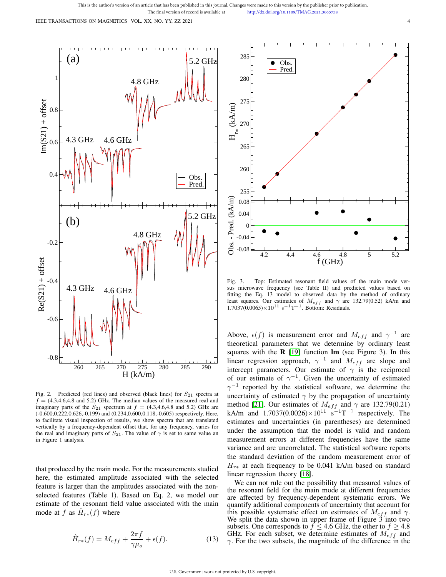IEEE TRANSACTIONS ON MAGNETICS VOL. XX, NO. YY, ZZ 2021



Fig. 2. Predicted (red lines) and observed (black lines) for  $S_{21}$  spectra at  $f = (4.3, 4.6, 4.8 \text{ and } 5.2)$  GHz. The median values of the measured real and imaginary parts of the  $S_{21}$  spectrum at  $f = (4.3, 4.6, 4.8, 5.2)$  GHz are (-0.600,0.222,0.626,-0.199) and (0.234,0.600,0.118,-0.605) respectively. Here, to facilitate visual inspection of results, we show spectra that are translated vertically by a frequency-dependent offset that, for any frequency, varies for the real and imaginary parts of  $S_{21}$ . The value of  $\gamma$  is set to same value an in Figure 1 analysis.

that produced by the main mode. For the measurements studied here, the estimated amplitude associated with the selected feature is larger than the amplitudes associated with the nonselected features (Table 1). Based on Eq. 2, we model our estimate of the resonant field value associated with the main mode at f as  $\hat{H}_{r*}(f)$  where

$$
\hat{H}_{r*}(f) = M_{eff} + \frac{2\pi f}{\gamma \mu_o} + \epsilon(f). \tag{13}
$$



Fig. 3. Top: Estimated resonant field values of the main mode versus microwave frequency (see Table II) and predicted values based on fitting the Eq. 13 model to observed data by the method of ordinary least squares. Our estimates of  $M_{eff}$  and  $\gamma$  are 132.79(0.52) kA/m and  $1.7037(0.0065) \times 10^{11}$  s<sup>-1</sup>T<sup>-1</sup>. Bottom: Residuals.

Above,  $\epsilon(f)$  is measurement error and  $M_{eff}$  and  $\gamma^{-1}$  are theoretical parameters that we determine by ordinary least squares with the  $R$  [19] function  $Im$  (see Figure 3). In this linear regression approach,  $\gamma^{-1}$  and  $M_{eff}$  are slope and intercept parameters. Our estimate of  $\gamma$  is the reciprocal of our estimate of  $\gamma^{-1}$ . Given the uncertainty of estimated  $\gamma^{-1}$  reported by the statistical software, we determine the uncertainty of estimated  $\gamma$  by the propagation of uncertainty method [21]. Our estimates of  $M_{eff}$  and  $\gamma$  are 132.79(0.21) kA/m and  $1.7037(0.0026) \times 10^{11}$  s<sup>-1</sup>T<sup>-1</sup> respectively. The estimates and uncertainties (in parentheses) are determined under the assumption that the model is valid and random measurement errors at different frequencies have the same variance and are uncorrelated. The statistical software reports the standard deviation of the random measurement error of  $H_{r*}$  at each frequency to be 0.041 kA/m based on standard linear regression theory [18].

We can not rule out the possibility that measured values of the resonant field for the main mode at different frequencies are affected by frequency-dependent systematic errors. We quantify additional components of uncertainty that account for this possible systematic effect on estimates of  $M_{eff}$  and  $\gamma$ . We split the data shown in upper frame of Figure 3 into two subsets. One corresponds to  $f \leq 4.6$  GHz, the other to  $f \geq 4.8$ GHz. For each subset, we determine estimates of  $M_{eff}$  and  $\gamma$ . For the two subsets, the magnitude of the difference in the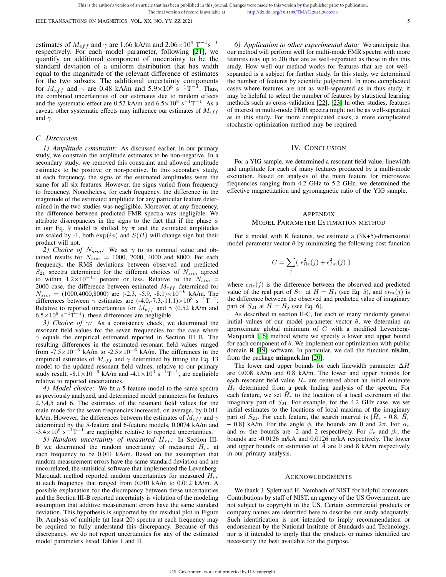The final version of record is available at http://dx.doi.org/10.1109/TMAG.2021.3065758

estimates of  $M_{eff}$  and  $\gamma$  are 1.66 kA/m and 2.06×10<sup>9</sup> T<sup>-1</sup>s<sup>-1</sup> respectively. For each model parameter, following [21], we quantify an additional component of uncertainty to be the standard deviation of a uniform distribution that has width equal to the magnitude of the relevant difference of estimates for the two subsets. The additional uncertainty components for  $M_{eff}$  and  $\gamma$  are 0.48 kA/m and 5.9×10<sup>8</sup> s<sup>-1</sup>T<sup>-1</sup>. Thus, the combined uncertainties of our estimates due to random effects and the systematic effect are 0.52 kA/m and  $6.5 \times 10^8$  s<sup>-1</sup>T<sup>-1</sup>. As a caveat, other systematic effects may influence our estimates of  $M_{eff}$ and  $\gamma$ .

## *C. Discussion*

*1) Amplitude constraint:* As discussed earlier, in our primary study, we constrain the amplitude estimates to be non-negative. In a secondary study, we removed this constraint and allowed amplitude estimates to be positive or non-positive. In this secondary study, at each frequency, the signs of the estimated amplitudes were the same for all six features. However, the signs varied from frequency to frequency. Nonetheless, for each frequency, the difference in the magnitude of the estimated amplitude for any particular feature determined in the two studies was negligible. Moreover, at any frequency, the difference between predicted FMR spectra was negligible. We attribute discrepancies in the signs to the fact that if the phase  $\phi$ in our Eq. 9 model is shifted by  $\pi$  and the estimated amplitudes are scaled by -1, both  $exp(i\phi)$  and  $S(H)$  will change sign but their product will not.

*2) Choice of*  $N_{sim}$ : We set  $\gamma$  to its nominal value and obtained results for  $N_{sim}$  = 1000, 2000, 4000 and 8000. For each frequency, the RMS deviations between observed and predicted  $S_{21}$  spectra determined for the different choices of  $N_{sim}$  agreed to within  $1.2 \times 10^{-11}$  percent or less. Relative to the  $N_{sim}$  = 2000 case, the difference between estimated  $M_{eff}$  determined for  $N_{sim}$  = (1000,4000,8000) are (-2.3, -5.9, -8.1)×10<sup>-6</sup> kA/m. The differences between  $\gamma$  estimates are  $(-4.0, -7.3, -11.1) \times 10^3$  s<sup>-1</sup>T<sup>-1</sup>. Relative to reported uncertainties for  $M_{eff}$  and  $\gamma$  (0.52 kA/m and  $6.5 \times 10^8$  s<sup>-1</sup>T<sup>-1</sup>), these differences are negligible.

*3) Choice of* γ*:* As a consistency check, we determined the resonant field values for the seven frequencies for the case where  $\gamma$  equals the empirical estimated reported in Section III B. The resulting differences in the estimated resonant field values ranged from -7.5 $\times$ 10<sup>-6</sup> kA/m to -2.5 $\times$ 10<sup>-6</sup> kA/m. The differences in the empirical estimates of  $M_{eff}$  and  $\gamma$  determined by fitting the Eq. 13 model to the updated resonant field values, relative to our primary study result,  $-8.1 \times 10^{-6}$  kA/m and  $-4.1 \times 10^{3}$  s<sup>-1</sup>T<sup>-1</sup>, are negligible relative to reported uncertainties.

*4) Model choice:* We fit a 5-feature model to the same spectra as previously analyzed, and determined model parameters for features 2,3,4,5 and 6. The estimates of the resonant field values for the main mode for the seven frequencies increased, on average, by 0.011 kA/m. However, the differences between the estimates of  $M_{eff}$  and  $\gamma$ determined by the 5-feature and 6-feature models, 0.0074 kA/m and  $-3.4 \times 10^6$  s<sup>-1</sup>T<sup>-1</sup> are negligible relative to reported uncertainties.

*5) Random uncertainty of measured*  $H_{r*}$ : In Section III-B we determined the random uncertainty of measured  $H_{r*}$  at each frequency to be 0.041 kA/m. Based on the assumption that random measurement errors have the same standard deviation and are uncorrelated, the statistical software that implemented the Levenberg-Marquadt method reported random uncertainties for measured  $H_{r*}$ at each frequency that ranged from 0.010 kA/m to 0.012 kA/m. A possible explanation for the discrepancy between these uncertainties and the Section III-B reported uncertainty is violation of the modeling assumption that additive measurement errors have the same standard deviation. This hypothesis is supported by the residual plot in Figure 1b. Analysis of multiple (at least 20) spectra at each frequency may be required to fully understand this discrepancy. Because of this discrepancy, we do not report uncertainties for any of the estimated model parameters listed Tables I and II.

*6) Application to other experimental data:* We anticipate that our method will perform well for multi-mode FMR spectra with more features (say up to 20) that are as well-separated as those in this this study. How well our method works for features that are not wellseparated is a subject for further study. In this study, we determined the number of features by scientific judgement. In more complicated cases where features are not as well-separated as in thus study, it may be helpful to select the number of features by statistical learning methods such as cross-validation [22], [23] In other studies, features of interest in multi-mode FMR spectra might not be as well-separated as in this study. For more complicated cases, a more complicated stochastic optimization method may be required.

# IV. CONCLUSION

For a YIG sample, we determined a resonant field value, linewidth and amplitude for each of many features produced by a multi-mode excitation. Based on analysis of the main feature for microwave frequencies ranging from 4.2 GHz to 5.2 GHz, we determined the effective magnetization and gyromagnetic ratio of the YIG sample.

## APPENDIX

## MODEL PARAMETER ESTIMATION METHOD

For a model with K features, we estimate a (3K+5)-dimensional model parameter vector  $\theta$  by minimizing the following cost function

$$
C = \sum_{j} \left( \epsilon_{Re}^2(j) + \epsilon_{Im}^2(j) \right)
$$

where  $\epsilon_{Re}(j)$  is the difference between the observed and predicted value of the real part of  $S_{21}$  at  $H = H_j$  (see Eq. 5), and  $\epsilon_{Im}(j)$  is the difference between the observed and predicted value of imaginary part of  $S_{21}$  at  $H = H_j$  (see Eq. 6).

As described in section II-C, for each of many randomly general initial values of our model parameter vector  $\theta$ , we determine an approximate global minimum of  $C$  with a modified Levenberg-Marquardt [16] method where we specify a lower and upper bound for each component of  $\theta$ . We implement our optimization with public domain **R** [19] software. In particular, we call the function nls.lm, from the package minpack.lm [20].

The lower and upper bounds for each linewidth parameter  $\Delta H$ are 0.008 kA/m and 0.8 kA/m. The lower and upper bounds for each resonant field value  $H_r$  are centered about an initial estimate  $\tilde{H}_r$  determined from a peak finding analysis of the spectra. For each feature, we set  $\tilde{H}_r$  to the location of a local extremum of the imaginary part of  $S_{21}$ . For example, for the 4.2 GHz case, we set initial estimates to the locations of local maxima of the imaginary part of  $S_{21}$ . For each feature, the search interval is  $[H<sub>r</sub> - 0.8, H<sub>r</sub>]$ + 0.8] kA/m. For the angle  $\phi$ , the bounds are 0 and  $2\pi$ . For  $\alpha_r$ and  $\alpha_i$  the bounds are -2 and 2 respectively. For  $\beta_r$  and  $\beta_i$ , the bounds are -0.0126 m/kA and 0.0126 m/kA respectively. The lower and upper bounds on estimates of  $A$  are 0 and 8 kA/m respectively in our primary analysis.

#### ACKNOWLEDGMENTS

We thank J. Splett and H. Nembach of NIST for helpful comments. Contributions by staff of NIST, an agency of the US Government, are not subject to copyright in the US. Certain commercial products or company names are identified here to describe our study adequately. Such identification is not intended to imply recommendation or endorsement by the National Institute of Standards and Technology, nor is it intended to imply that the products or names identified are necessarily the best available for the purpose.